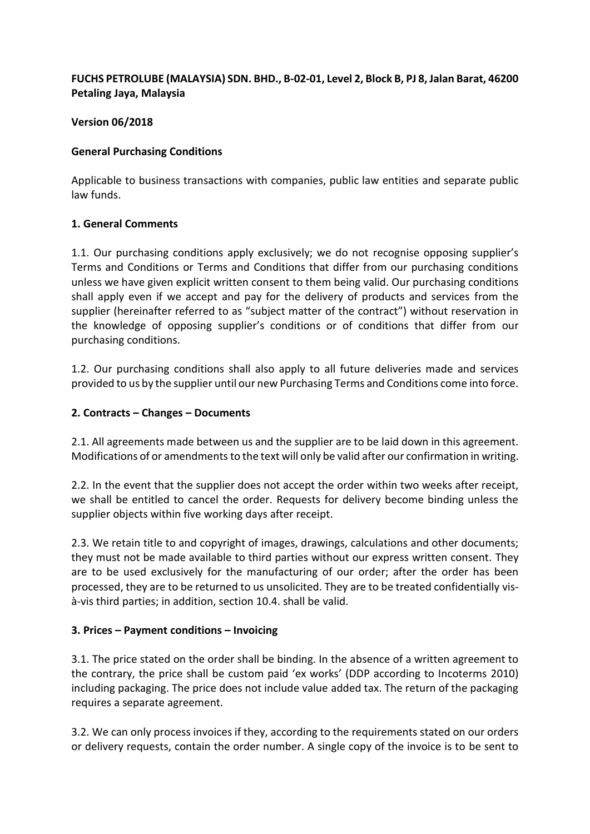## **FUCHS PETROLUBE (MALAYSIA) SDN. BHD., B-02-01, Level 2, Block B, PJ 8, Jalan Barat, 46200 Petaling Jaya, Malaysia**

#### **Version 06/2018**

#### **General Purchasing Conditions**

Applicable to business transactions with companies, public law entities and separate public law funds.

#### **1. General Comments**

1.1. Our purchasing conditions apply exclusively; we do not recognise opposing supplier's Terms and Conditions or Terms and Conditions that differ from our purchasing conditions unless we have given explicit written consent to them being valid. Our purchasing conditions shall apply even if we accept and pay for the delivery of products and services from the supplier (hereinafter referred to as "subject matter of the contract") without reservation in the knowledge of opposing supplier's conditions or of conditions that differ from our purchasing conditions.

1.2. Our purchasing conditions shall also apply to all future deliveries made and services provided to us by the supplier until our new Purchasing Terms and Conditions come into force.

#### **2. Contracts – Changes – Documents**

2.1. All agreements made between us and the supplier are to be laid down in this agreement. Modifications of or amendments to the text will only be valid after our confirmation in writing.

2.2. In the event that the supplier does not accept the order within two weeks after receipt, we shall be entitled to cancel the order. Requests for delivery become binding unless the supplier objects within five working days after receipt.

2.3. We retain title to and copyright of images, drawings, calculations and other documents; they must not be made available to third parties without our express written consent. They are to be used exclusively for the manufacturing of our order; after the order has been processed, they are to be returned to us unsolicited. They are to be treated confidentially visà-vis third parties; in addition, section 10.4. shall be valid.

#### **3. Prices – Payment conditions – Invoicing**

3.1. The price stated on the order shall be binding. In the absence of a written agreement to the contrary, the price shall be custom paid 'ex works' (DDP according to Incoterms 2010) including packaging. The price does not include value added tax. The return of the packaging requires a separate agreement.

3.2. We can only process invoices if they, according to the requirements stated on our orders or delivery requests, contain the order number. A single copy of the invoice is to be sent to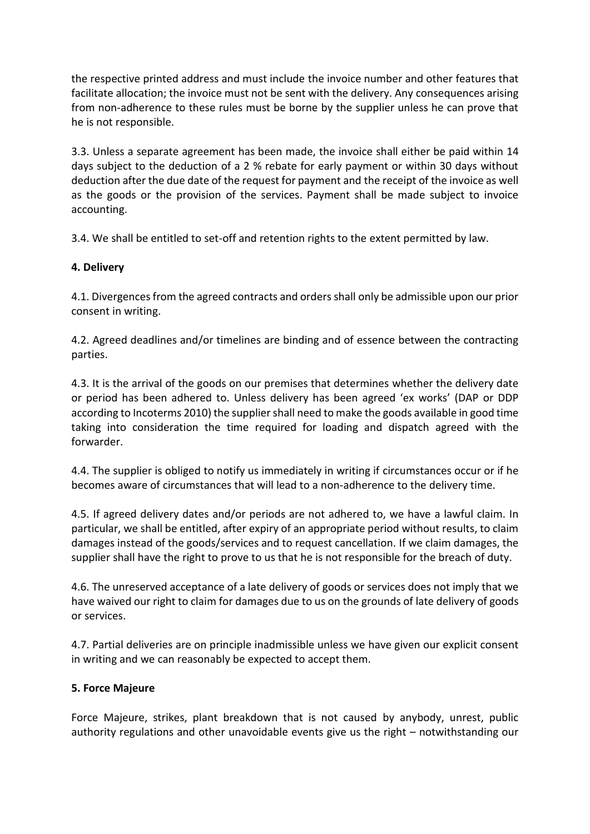the respective printed address and must include the invoice number and other features that facilitate allocation; the invoice must not be sent with the delivery. Any consequences arising from non-adherence to these rules must be borne by the supplier unless he can prove that he is not responsible.

3.3. Unless a separate agreement has been made, the invoice shall either be paid within 14 days subject to the deduction of a 2 % rebate for early payment or within 30 days without deduction after the due date of the request for payment and the receipt of the invoice as well as the goods or the provision of the services. Payment shall be made subject to invoice accounting.

3.4. We shall be entitled to set-off and retention rights to the extent permitted by law.

## **4. Delivery**

4.1. Divergences from the agreed contracts and orders shall only be admissible upon our prior consent in writing.

4.2. Agreed deadlines and/or timelines are binding and of essence between the contracting parties.

4.3. It is the arrival of the goods on our premises that determines whether the delivery date or period has been adhered to. Unless delivery has been agreed 'ex works' (DAP or DDP according to Incoterms 2010) the supplier shall need to make the goods available in good time taking into consideration the time required for loading and dispatch agreed with the forwarder.

4.4. The supplier is obliged to notify us immediately in writing if circumstances occur or if he becomes aware of circumstances that will lead to a non-adherence to the delivery time.

4.5. If agreed delivery dates and/or periods are not adhered to, we have a lawful claim. In particular, we shall be entitled, after expiry of an appropriate period without results, to claim damages instead of the goods/services and to request cancellation. If we claim damages, the supplier shall have the right to prove to us that he is not responsible for the breach of duty.

4.6. The unreserved acceptance of a late delivery of goods or services does not imply that we have waived our right to claim for damages due to us on the grounds of late delivery of goods or services.

4.7. Partial deliveries are on principle inadmissible unless we have given our explicit consent in writing and we can reasonably be expected to accept them.

## **5. Force Majeure**

Force Majeure, strikes, plant breakdown that is not caused by anybody, unrest, public authority regulations and other unavoidable events give us the right – notwithstanding our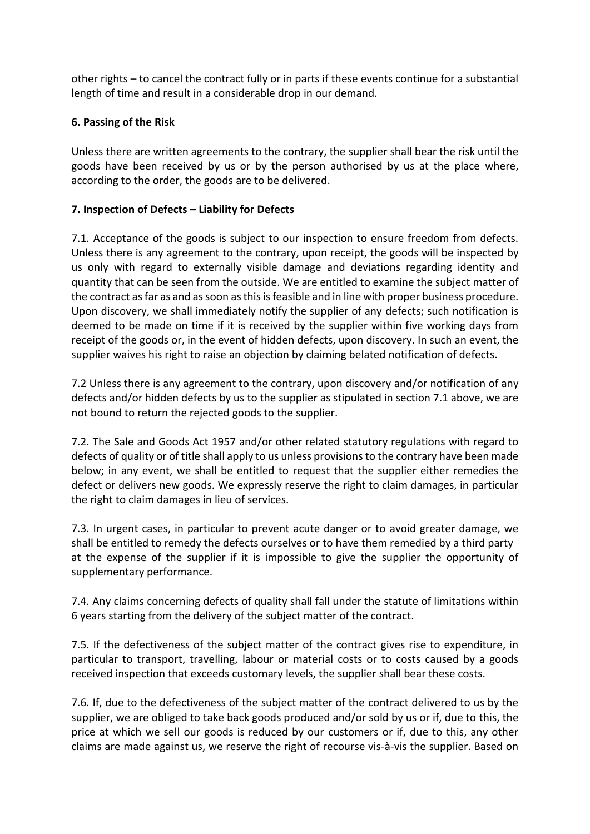other rights – to cancel the contract fully or in parts if these events continue for a substantial length of time and result in a considerable drop in our demand.

## **6. Passing of the Risk**

Unless there are written agreements to the contrary, the supplier shall bear the risk until the goods have been received by us or by the person authorised by us at the place where, according to the order, the goods are to be delivered.

#### **7. Inspection of Defects – Liability for Defects**

7.1. Acceptance of the goods is subject to our inspection to ensure freedom from defects. Unless there is any agreement to the contrary, upon receipt, the goods will be inspected by us only with regard to externally visible damage and deviations regarding identity and quantity that can be seen from the outside. We are entitled to examine the subject matter of the contract as far as and as soon as this isfeasible and in line with proper business procedure. Upon discovery, we shall immediately notify the supplier of any defects; such notification is deemed to be made on time if it is received by the supplier within five working days from receipt of the goods or, in the event of hidden defects, upon discovery. In such an event, the supplier waives his right to raise an objection by claiming belated notification of defects.

7.2 Unless there is any agreement to the contrary, upon discovery and/or notification of any defects and/or hidden defects by us to the supplier as stipulated in section 7.1 above, we are not bound to return the rejected goods to the supplier.

7.2. The Sale and Goods Act 1957 and/or other related statutory regulations with regard to defects of quality or of title shall apply to us unless provisions to the contrary have been made below; in any event, we shall be entitled to request that the supplier either remedies the defect or delivers new goods. We expressly reserve the right to claim damages, in particular the right to claim damages in lieu of services.

7.3. In urgent cases, in particular to prevent acute danger or to avoid greater damage, we shall be entitled to remedy the defects ourselves or to have them remedied by a third party at the expense of the supplier if it is impossible to give the supplier the opportunity of supplementary performance.

7.4. Any claims concerning defects of quality shall fall under the statute of limitations within 6 years starting from the delivery of the subject matter of the contract.

7.5. If the defectiveness of the subject matter of the contract gives rise to expenditure, in particular to transport, travelling, labour or material costs or to costs caused by a goods received inspection that exceeds customary levels, the supplier shall bear these costs.

7.6. If, due to the defectiveness of the subject matter of the contract delivered to us by the supplier, we are obliged to take back goods produced and/or sold by us or if, due to this, the price at which we sell our goods is reduced by our customers or if, due to this, any other claims are made against us, we reserve the right of recourse vis-à-vis the supplier. Based on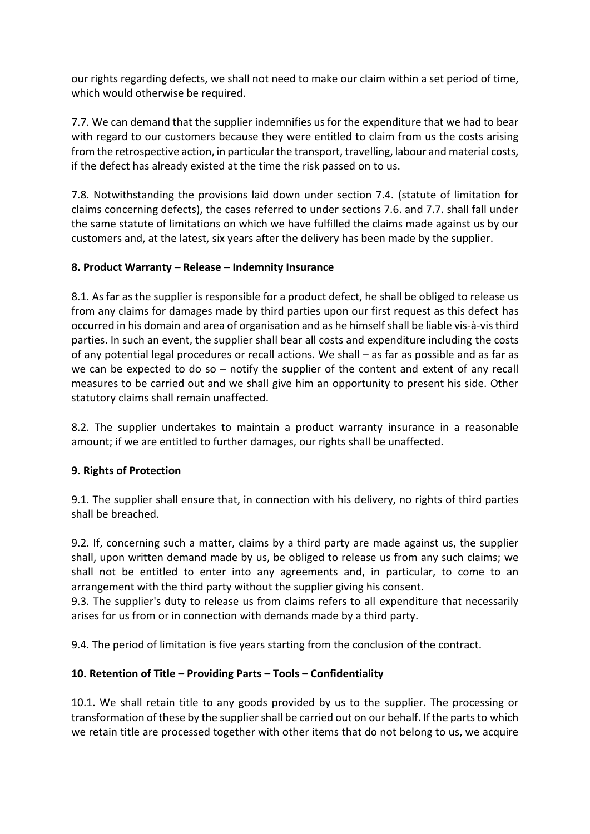our rights regarding defects, we shall not need to make our claim within a set period of time, which would otherwise be required.

7.7. We can demand that the supplier indemnifies us for the expenditure that we had to bear with regard to our customers because they were entitled to claim from us the costs arising from the retrospective action, in particular the transport, travelling, labour and material costs, if the defect has already existed at the time the risk passed on to us.

7.8. Notwithstanding the provisions laid down under section 7.4. (statute of limitation for claims concerning defects), the cases referred to under sections 7.6. and 7.7. shall fall under the same statute of limitations on which we have fulfilled the claims made against us by our customers and, at the latest, six years after the delivery has been made by the supplier.

## **8. Product Warranty – Release – Indemnity Insurance**

8.1. As far as the supplier is responsible for a product defect, he shall be obliged to release us from any claims for damages made by third parties upon our first request as this defect has occurred in his domain and area of organisation and as he himself shall be liable vis-à-vis third parties. In such an event, the supplier shall bear all costs and expenditure including the costs of any potential legal procedures or recall actions. We shall – as far as possible and as far as we can be expected to do so – notify the supplier of the content and extent of any recall measures to be carried out and we shall give him an opportunity to present his side. Other statutory claims shall remain unaffected.

8.2. The supplier undertakes to maintain a product warranty insurance in a reasonable amount; if we are entitled to further damages, our rights shall be unaffected.

## **9. Rights of Protection**

9.1. The supplier shall ensure that, in connection with his delivery, no rights of third parties shall be breached.

9.2. If, concerning such a matter, claims by a third party are made against us, the supplier shall, upon written demand made by us, be obliged to release us from any such claims; we shall not be entitled to enter into any agreements and, in particular, to come to an arrangement with the third party without the supplier giving his consent.

9.3. The supplier's duty to release us from claims refers to all expenditure that necessarily arises for us from or in connection with demands made by a third party.

9.4. The period of limitation is five years starting from the conclusion of the contract.

# **10. Retention of Title – Providing Parts – Tools – Confidentiality**

10.1. We shall retain title to any goods provided by us to the supplier. The processing or transformation of these by the supplier shall be carried out on our behalf. If the parts to which we retain title are processed together with other items that do not belong to us, we acquire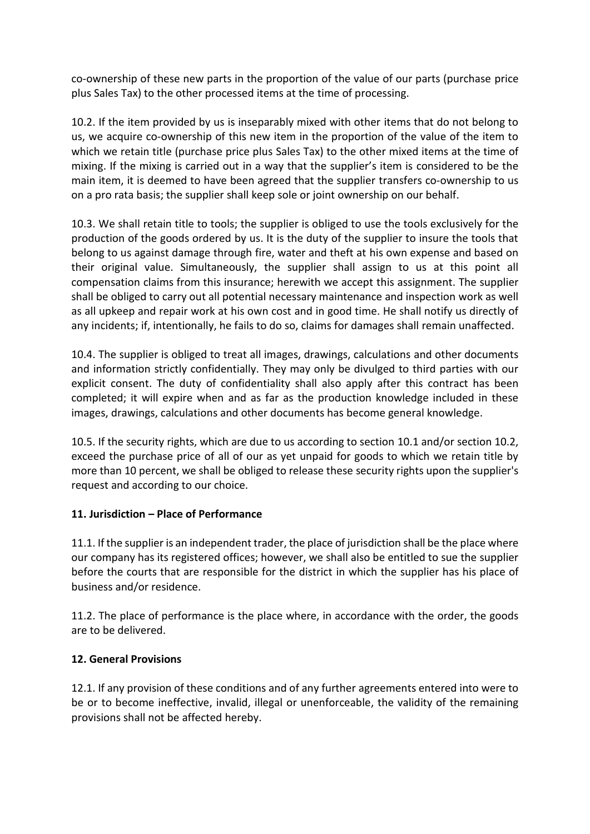co-ownership of these new parts in the proportion of the value of our parts (purchase price plus Sales Tax) to the other processed items at the time of processing.

10.2. If the item provided by us is inseparably mixed with other items that do not belong to us, we acquire co-ownership of this new item in the proportion of the value of the item to which we retain title (purchase price plus Sales Tax) to the other mixed items at the time of mixing. If the mixing is carried out in a way that the supplier's item is considered to be the main item, it is deemed to have been agreed that the supplier transfers co-ownership to us on a pro rata basis; the supplier shall keep sole or joint ownership on our behalf.

10.3. We shall retain title to tools; the supplier is obliged to use the tools exclusively for the production of the goods ordered by us. It is the duty of the supplier to insure the tools that belong to us against damage through fire, water and theft at his own expense and based on their original value. Simultaneously, the supplier shall assign to us at this point all compensation claims from this insurance; herewith we accept this assignment. The supplier shall be obliged to carry out all potential necessary maintenance and inspection work as well as all upkeep and repair work at his own cost and in good time. He shall notify us directly of any incidents; if, intentionally, he fails to do so, claims for damages shall remain unaffected.

10.4. The supplier is obliged to treat all images, drawings, calculations and other documents and information strictly confidentially. They may only be divulged to third parties with our explicit consent. The duty of confidentiality shall also apply after this contract has been completed; it will expire when and as far as the production knowledge included in these images, drawings, calculations and other documents has become general knowledge.

10.5. If the security rights, which are due to us according to section 10.1 and/or section 10.2, exceed the purchase price of all of our as yet unpaid for goods to which we retain title by more than 10 percent, we shall be obliged to release these security rights upon the supplier's request and according to our choice.

## **11. Jurisdiction – Place of Performance**

11.1. If the supplier is an independent trader, the place of jurisdiction shall be the place where our company has its registered offices; however, we shall also be entitled to sue the supplier before the courts that are responsible for the district in which the supplier has his place of business and/or residence.

11.2. The place of performance is the place where, in accordance with the order, the goods are to be delivered.

## **12. General Provisions**

12.1. If any provision of these conditions and of any further agreements entered into were to be or to become ineffective, invalid, illegal or unenforceable, the validity of the remaining provisions shall not be affected hereby.